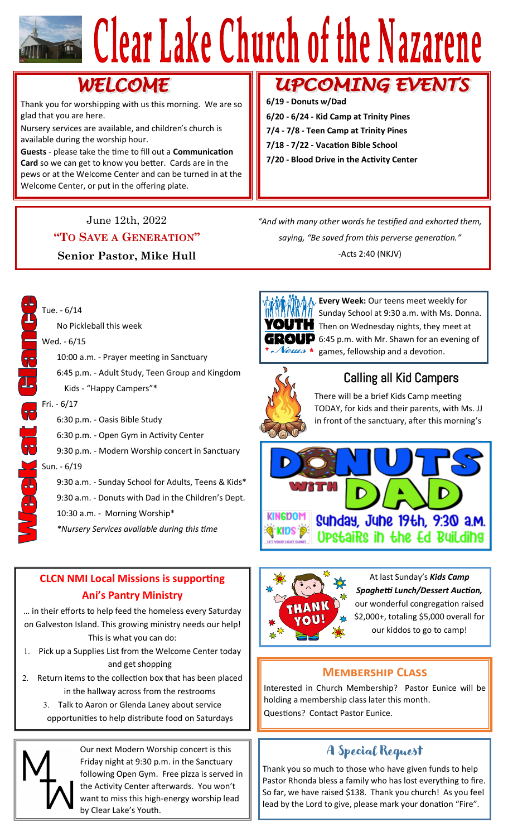# Clear Lake Church of the Nazarene

# WELCOME

Thank you for worshipping with us this morning. We are so glad that you are here.

Nursery services are available, and children's church is available during the worship hour.

**Guests** - please take the time to fill out a **Communication Card** so we can get to know you better. Cards are in the pews or at the Welcome Center and can be turned in at the Welcome Center, or put in the offering plate.

#### June 12th, 2022

#### **"TO SAVE A GENERATION"**

#### **Senior Pastor, Mike Hull**

# **UPCOMING EVENTS**

**6/19 - Donuts w/Dad**

- **6/20 - 6/24 - Kid Camp at Trinity Pines**
- **7/4 - 7/8 - Teen Camp at Trinity Pines**
- **7/18 - 7/22 - Vacation Bible School**
- **7/20 - Blood Drive in the Activity Center**

*"And with many other words he testified and exhorted them, saying, "Be saved from this perverse generation."* -Acts 2:40 (NKJV)



**L** Every Week: Our teens meet weekly for Sunday School at 9:30 a.m. with Ms. Donna. YOUTH Then on Wednesday nights, they meet at  **6:45 p.m. with Mr. Shawn for an evening of**  $\mathcal V\acute{e}u\mathcal{u}$ s  $\star$  games, fellowship and a devotion.



### Calling all Kid Campers

There will be a brief Kids Camp meeting TODAY, for kids and their parents, with Ms. JJ in front of the sanctuary, after this morning's





At last Sunday's *Kids Camp Spaghetti Lunch/Dessert Auction,*  our wonderful congregation raised \$2,000+, totaling \$5,000 overall for our kiddos to go to camp!

#### **Membership Class**

Interested in Church Membership? Pastor Eunice will be holding a membership class later this month. Questions? Contact Pastor Eunice.

## A Special Request

Thank you so much to those who have given funds to help Pastor Rhonda bless a family who has lost everything to fire. So far, we have raised \$138. Thank you church! As you feel lead by the Lord to give, please mark your donation "Fire".

#### Kids - "Happy Campers"\* Fri. - 6/17

Tue. - 6/14

Wed. - 6/15

6:30 p.m. - Oasis Bible Study

No Pickleball this week

6:30 p.m. - Open Gym in Activity Center

10:00 a.m. - Prayer meeting in Sanctuary

6:45 p.m. - Adult Study, Teen Group and Kingdom

9:30 p.m. - Modern Worship concert in Sanctuary

#### Sun. - 6/19

- 9:30 a.m. Sunday School for Adults, Teens & Kids\*
- 9:30 a.m. Donuts with Dad in the Children's Dept.
- 10:30 a.m. Morning Worship\*
- *\*Nursery Services available during this time*

#### **CLCN NMI Local Missions is supporting Ani's Pantry Ministry**

… in their efforts to help feed the homeless every Saturday on Galveston Island. This growing ministry needs our help! This is what you can do:

- 1. Pick up a Supplies List from the Welcome Center today and get shopping
- 2. Return items to the collection box that has been placed in the hallway across from the restrooms
	- Talk to Aaron or Glenda Laney about service opportunities to help distribute food on Saturdays



Our next Modern Worship concert is this Friday night at 9:30 p.m. in the Sanctuary following Open Gym. Free pizza is served in the Activity Center afterwards. You won't want to miss this high-energy worship lead by Clear Lake's Youth.